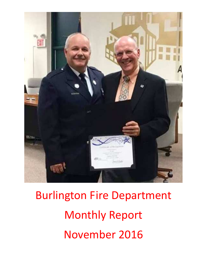

Burlington Fire Department Monthly Report November 2016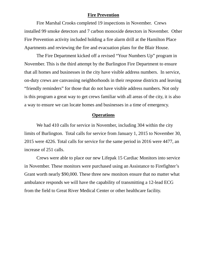#### **Fire Prevention**

Fire Marshal Crooks completed 19 inspections in November. Crews installed 99 smoke detectors and 7 carbon monoxide detectors in November. Other Fire Prevention activity included holding a fire alarm drill at the Hamilton Place Apartments and reviewing the fire and evacuation plans for the Blair House.

The Fire Department kicked off a revised "Your Numbers Up" program in November. This is the third attempt by the Burlington Fire Department to ensure that all homes and businesses in the city have visible address numbers. In service, on-duty crews are canvassing neighborhoods in their response districts and leaving "friendly reminders" for those that do not have visible address numbers. Not only is this program a great way to get crews familiar with all areas of the city, it is also a way to ensure we can locate homes and businesses in a time of emergency.

#### **Operations**

We had 410 calls for service in November, including 304 within the city limits of Burlington. Total calls for service from January 1, 2015 to November 30, 2015 were 4226. Total calls for service for the same period in 2016 were 4477, an increase of 251 calls.

Crews were able to place our new Lifepak 15 Cardiac Monitors into service in November. These monitors were purchased using an Assistance to Firefighter's Grant worth nearly \$90,000. These three new monitors ensure that no matter what ambulance responds we will have the capability of transmitting a 12-lead ECG from the field to Great River Medical Center or other healthcare facility.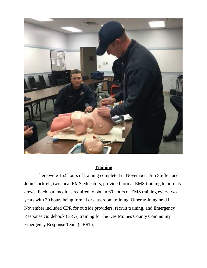

## **Training**

 There were 162 hours of training completed in November. Jim Steffen and John Cockrell, two local EMS educators, provided formal EMS training to on-duty crews. Each paramedic is required to obtain 60 hours of EMS training every two years with 30 hours being formal or classroom training. Other training held in November included CPR for outside providers, recruit training, and Emergency Response Guidebook (ERG) training for the Des Moines County Community Emergency Response Team (CERT),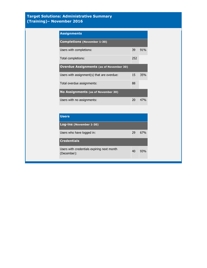#### **Target Solutions: Administrative Summary (Training)– November 2016**

| <b>Assignments</b>                             |     |     |
|------------------------------------------------|-----|-----|
| <b>Completions (November 1-30)</b>             |     |     |
| Users with completions:                        | 39  | 91% |
| Total completions:                             | 252 |     |
| <b>Overdue Assignments (as of November 30)</b> |     |     |
| Users with assignment(s) that are overdue:     | 15  | 35% |
| Total overdue assignments:                     | 88  |     |
| <b>No Assignments (as of November 30)</b>      |     |     |
| Users with no assignments:                     | 20  | 47% |

| <b>Users</b>                                              |    |                 |
|-----------------------------------------------------------|----|-----------------|
| Log-ins (November 1-30)                                   |    |                 |
| Users who have logged in:                                 | 29 | 67 <sub>%</sub> |
| <b>Credentials</b>                                        |    |                 |
| Users with credentials expiring next month<br>(December): | 40 | 93%             |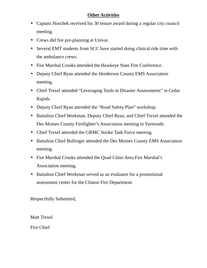## **Other Activities**

- Captain Hoschek received his 30 tenure award during a regular city council meeting.
- Crews did fire pre-planning at Univar.
- Several EMT students from SCC have started doing clinical ride time with the ambulance crews.
- Fire Marshal Crooks attended the Hawkeye State Fire Conference.
- Deputy Chief Ryan attended the Henderson County EMS Association meeting.
- Chief Trexel attended "Leveraging Tools in Disaster Assessments" in Cedar Rapids.
- Deputy Chief Ryan attended the "Road Safety Plan" workshop.
- Battalion Chief Workman, Deputy Chief Ryan, and Chief Trexel attended the Des Moines County Firefighter's Association meeting in Yarmouth.
- Chief Trexel attended the GRMC Stroke Task Force meeting.
- Battalion Chief Bullinger attended the Des Moines County EMS Association meeting.
- Fire Marshal Crooks attended the Quad Cities Area Fire Marshal's Association meeting.
- Battalion Chief Workman served as an evaluator for a promotional assessment center for the Clinton Fire Department.

Respectfully Submitted,

Matt Trexel

Fire Chief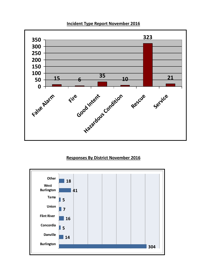

#### **Incident Type Report November 2016**

## **Responses By District November 2016**

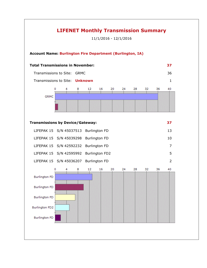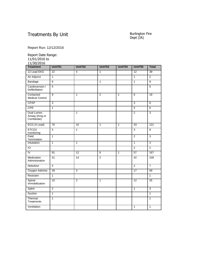## Treatments By Unit

# Burlington Fire<br>Dept (IA)

Report Run: 12/12/2016

Report Date Range:

11/01/2016 to

| 11/30/2016                                  |                 |                 |                |                |                 |                |
|---------------------------------------------|-----------------|-----------------|----------------|----------------|-----------------|----------------|
| <b>Treatment</b>                            | <b>Unit751</b>  | <b>Unit752</b>  | <b>Unit753</b> | <b>Unit754</b> | <b>Unit755</b>  | <b>Total</b>   |
| 12 Lead EKG                                 | 22              | 4               | $\mathbf{1}$   |                | 12              | 39             |
| Air Adjunct                                 | $\overline{1}$  |                 |                |                | $\overline{1}$  | $\overline{2}$ |
| Bandage                                     | $\overline{6}$  |                 | $\overline{1}$ |                | $\overline{1}$  | $\overline{8}$ |
| Cardioversion /<br>Defibrillation           | 5               |                 |                |                |                 | $\overline{5}$ |
| Contacted<br><b>Medical Control</b>         | $\overline{9}$  | $\mathbf{1}$    | 2              | $\mathbf{1}$   | 6               | 19             |
| <b>CPAP</b>                                 | $\overline{3}$  |                 |                |                | $\overline{3}$  | 6              |
| <b>CPR</b>                                  | $\mathbf{1}$    |                 |                |                | 5               | 6              |
| Dual Lumen<br>Airway (King or<br>Combitube) |                 | $\overline{1}$  |                |                | $\overline{2}$  | $\overline{3}$ |
| ECG (4 Lead)                                | $\overline{76}$ | $\overline{10}$ | $\overline{1}$ | $\overline{1}$ | $\overline{33}$ | 121            |
| ETCO <sub>2</sub><br>monitoring             | 5               | $\mathbf{1}$    |                |                | 3               | 9              |
| Field<br>Termination                        | $\mathbf{1}$    |                 |                |                | $\overline{2}$  | $\overline{3}$ |
| Intubation                                  | $\mathbf{1}$    | $\mathbf{1}$    |                |                | $\mathbf{1}$    | 3              |
| $\overline{10}$                             |                 |                 |                |                | $\overline{2}$  | $\overline{2}$ |
| $\overline{N}$                              | 91              | 12              | 6              | $\overline{1}$ | 57              | 167            |
| Medication<br>Administration                | 51              | 14              | $\overline{2}$ |                | $\overline{42}$ | 109            |
| Nebulizer                                   | $\overline{5}$  |                 |                |                | $\overline{2}$  | $\overline{7}$ |
| Oxygen Adminis                              | 39              | 3               |                |                | $\overline{17}$ | 59             |
| Restraint                                   | $\overline{1}$  |                 |                |                |                 | $\overline{1}$ |
| Spinal<br>Immobilization                    | 10              | 2               | $\mathbf{1}$   |                | 12              | 25             |
| Splint                                      | $\overline{c}$  |                 |                |                | $\mathbf{1}$    | 3              |
| Suction                                     | $\overline{1}$  |                 |                |                |                 | $\overline{1}$ |
| Thermal<br>Treatments                       | $\overline{1}$  |                 |                |                |                 | $\overline{1}$ |
| Ventilation                                 |                 |                 |                |                | 1               | $\overline{1}$ |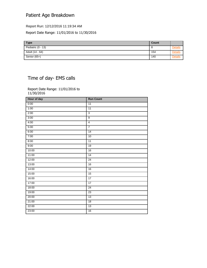## Patient Age Breakdown

Report Run: 12/12/2016 11:19:34 AM

Report Date Range: 11/01/2016 to 11/30/2016

| <b>Type</b>        | Count |  |
|--------------------|-------|--|
| Pediatric (0 - 13) | U     |  |
| Adult (14 - 64)    | 154   |  |
| Senior (65+)       | 140   |  |

## Time of day- EMS calls

Report Date Range: 11/01/2016 to 11/30/2016

| <b>Run Count</b> |
|------------------|
| $\overline{11}$  |
| 11               |
| $\overline{3}$   |
| $\overline{9}$   |
| $\overline{4}$   |
| $\overline{7}$   |
| 14               |
| 10               |
| 11               |
| 19               |
| 16               |
| 14               |
| $\overline{24}$  |
| 16               |
| 16               |
| 15               |
| 17               |
| 17               |
| $\overline{24}$  |
| 23               |
| 13               |
| 18               |
| 13               |
| 16               |
|                  |